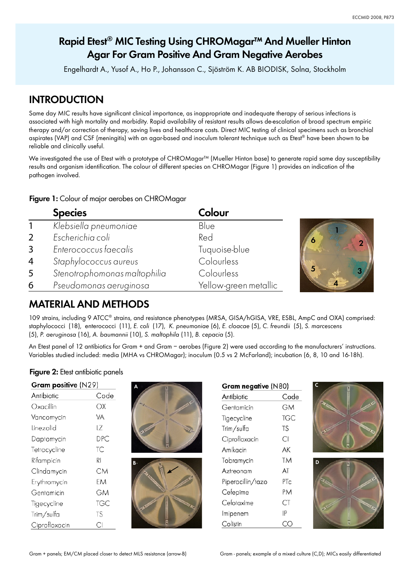# **Rapid Etest<sup>®</sup> MIC Testing Using CHROMagar™ And Mueller Hinton Agar For Gram Positive And Gram Negative Aerobes**

Engelhardt A., Yusof A., Ho P., Johansson C., Sjöström K. AB BIODISK, Solna, Stockholm

## **INTRODUCTION**

Same day MIC results have significant clinical importance, as inappropriate and inadequate therapy of serious infections is associated with high mortality and morbidity. Rapid availability of resistant results allows de-escalation of broad spectrum empiric therapy and/or correction of therapy, saving lives and healthcare costs. Direct MIC testing of clinical specimens such as bronchial aspirates (VAP) and CSF (meningitis) with an agar-based and inoculum tolerant technique such as Etest® have been shown to be reliable and clinically useful.

We investigated the use of Etest with a prototype of CHROMagar™ (Mueller Hinton base) to generate rapid same day susceptibility results and organism identification. The colour of different species on CHROMagar (Figure 1) provides an indication of the pathogen involved.

### **Figure 1:** Colour of major aerobes on CHROMagar

|                | <b>Species</b>               | Colour                |   |
|----------------|------------------------------|-----------------------|---|
|                | Klebsiella pneumoniae        | Blue                  |   |
| 2              | Escherichia coli             | Red                   |   |
| 3              | Enterococcus faecalis        | Tuquoise-blue         |   |
| $\overline{4}$ | Staphylococcus aureus        | Colourless            |   |
| 5              | Stenotrophomonas maltophilia | Colourless            | 5 |
| 6              | Pseudomonas aeruginosa       | Yellow-green metallic |   |

# **MATERIAL AND METHODS**

109 strains, including 9 ATCC® strains, and resistance phenotypes (MRSA, GISA/hGISA, VRE, ESBL, AmpC and OXA) comprised: staphylococci (18), enterococci (11), E. coli (17), K. pneumoniae (6), E. cloacae (5), C. freundii (5), S. marcescens (5), P. aeruginosa (16), A. baumannii (10), S. maltophila (11), B. cepacia (5).

An Etest panel of 12 antibiotics for Gram + and Gram – aerobes (Figure 2) were used according to the manufacturers' instructions. Variables studied included: media (MHA vs CHROMagar); inoculum (0.5 vs 2 McFarland); incubation (6, 8, 10 and 16-18h).

## **Figure 2:** Etest antibiotic panels

| Gram positive (N29) |      |  |  |  |  |
|---------------------|------|--|--|--|--|
| Antibiotic          | Code |  |  |  |  |
| Oxacillin           | OХ   |  |  |  |  |
| Vancomycin          | VA   |  |  |  |  |
| Linezolid           | LZ   |  |  |  |  |
| Daptomycin          | DPC  |  |  |  |  |
| Tetracycline        | ТC   |  |  |  |  |
| Rifampicin          | RI   |  |  |  |  |
| Clindamycin         | CМ   |  |  |  |  |
| Erythromycin        | FМ   |  |  |  |  |
| Gentamicin          | GM   |  |  |  |  |
| Tigecycline         | TGC  |  |  |  |  |
| Trim/sulfa          | TS   |  |  |  |  |
| Ciprofloxacin       | СI   |  |  |  |  |





| Gram negative (N80) |           |  |  |  |  |
|---------------------|-----------|--|--|--|--|
| Antibiotic          | Code      |  |  |  |  |
| Gentamicin          | GМ        |  |  |  |  |
| Tigecycline         | TGC       |  |  |  |  |
| Trim/sulfa          | <b>TS</b> |  |  |  |  |
| Ciprofloxacin       | СI        |  |  |  |  |
| Amikacin            | AK        |  |  |  |  |
| Tobramycin          | TM        |  |  |  |  |
| Aztreonam           | AT        |  |  |  |  |
| Piperacillin/tazo   | PTc       |  |  |  |  |
| Cefepime            | PM        |  |  |  |  |
| Cefotaxime          | CT        |  |  |  |  |
| Imipenem            | IP        |  |  |  |  |
| Colistin            |           |  |  |  |  |
|                     |           |  |  |  |  |



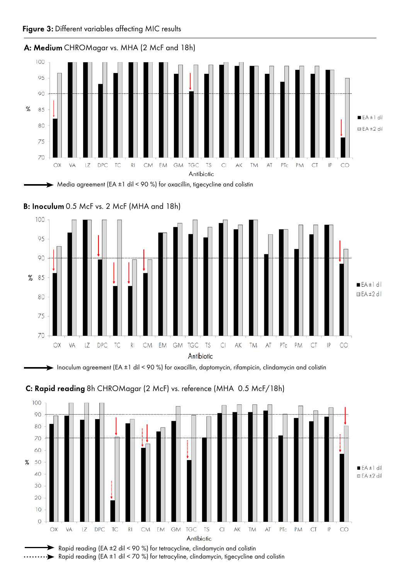







Inoculum agreement (EA ±1 dil < 90 %) for oxacillin, daptomycin, rifampicin, clindamycin and colistin





Rapid reading (EA ±2 dil < 90 %) for tetracycline, clindamycin and colistin Rapid reading (EA ±1 dil < 70 %) for tetracyline, clindamycin, tigecycline and colistin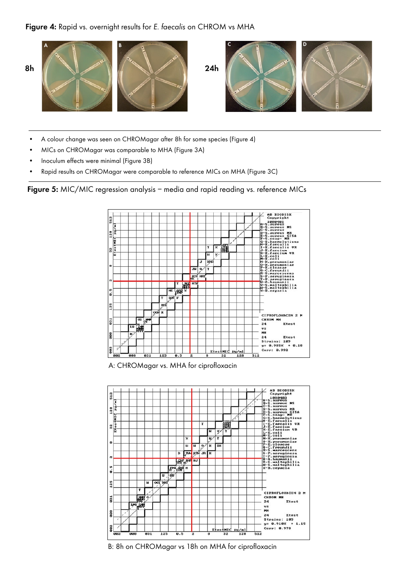#### Figure 4: Rapid vs. overnight results for E. faecalis on CHROM vs MHA



- A colour change was seen on CHROMagar after 8h for some species (Figure 4)
- MICs on CHROMagar was comparable to MHA (Figure 3A)
- Inoculum effects were minimal (Figure 3B)
- Rapid results on CHROMagar were comparable to reference MICs on MHA (Figure 3C)

**Figure 5:** MIC/MIC regression analysis – media and rapid reading vs. reference MICs



A: CHROMagar vs. MHA for ciprofloxacin



B: 8h on CHROMagar vs 18h on MHA for ciprofloxacin